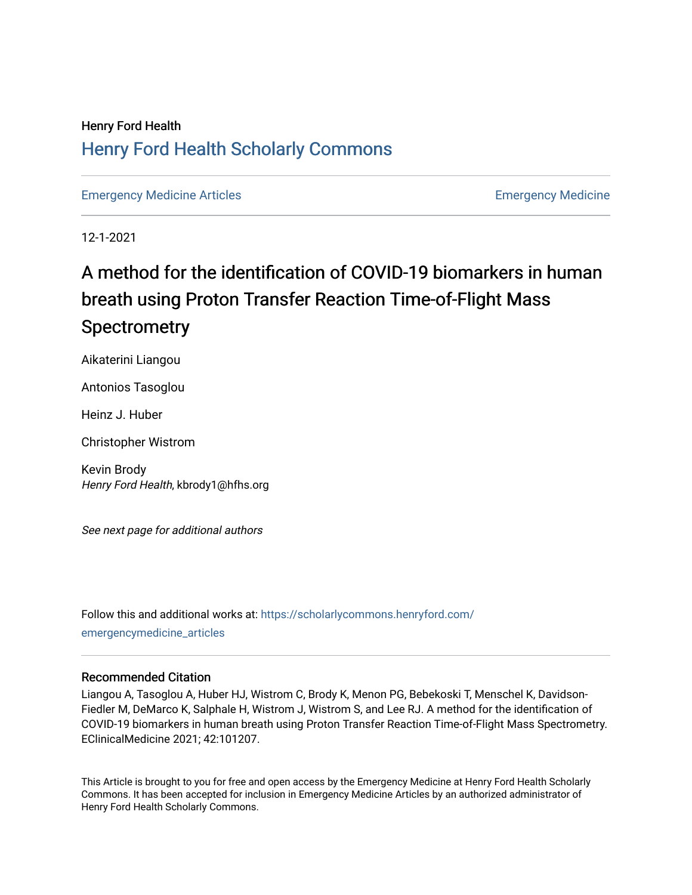## Henry Ford Health [Henry Ford Health Scholarly Commons](https://scholarlycommons.henryford.com/)

[Emergency Medicine Articles](https://scholarlycommons.henryford.com/emergencymedicine_articles) **Emergency Medicine** 

12-1-2021

# A method for the identification of COVID-19 biomarkers in human breath using Proton Transfer Reaction Time-of-Flight Mass **Spectrometry**

Aikaterini Liangou

Antonios Tasoglou

Heinz J. Huber

Christopher Wistrom

Kevin Brody Henry Ford Health, kbrody1@hfhs.org

See next page for additional authors

Follow this and additional works at: [https://scholarlycommons.henryford.com/](https://scholarlycommons.henryford.com/emergencymedicine_articles?utm_source=scholarlycommons.henryford.com%2Femergencymedicine_articles%2F246&utm_medium=PDF&utm_campaign=PDFCoverPages) [emergencymedicine\\_articles](https://scholarlycommons.henryford.com/emergencymedicine_articles?utm_source=scholarlycommons.henryford.com%2Femergencymedicine_articles%2F246&utm_medium=PDF&utm_campaign=PDFCoverPages) 

#### Recommended Citation

Liangou A, Tasoglou A, Huber HJ, Wistrom C, Brody K, Menon PG, Bebekoski T, Menschel K, Davidson-Fiedler M, DeMarco K, Salphale H, Wistrom J, Wistrom S, and Lee RJ. A method for the identification of COVID-19 biomarkers in human breath using Proton Transfer Reaction Time-of-Flight Mass Spectrometry. EClinicalMedicine 2021; 42:101207.

This Article is brought to you for free and open access by the Emergency Medicine at Henry Ford Health Scholarly Commons. It has been accepted for inclusion in Emergency Medicine Articles by an authorized administrator of Henry Ford Health Scholarly Commons.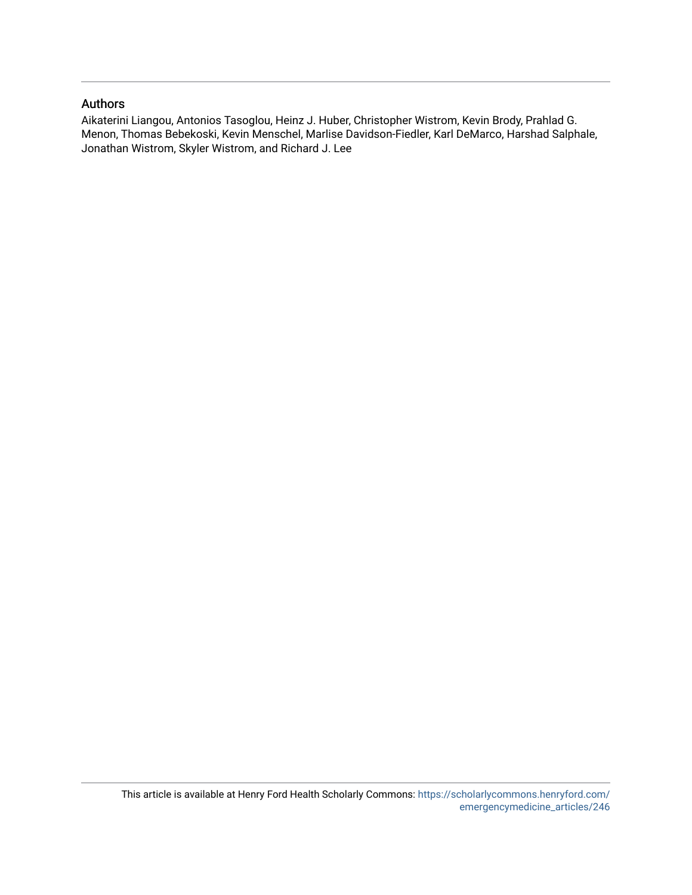### Authors

Aikaterini Liangou, Antonios Tasoglou, Heinz J. Huber, Christopher Wistrom, Kevin Brody, Prahlad G. Menon, Thomas Bebekoski, Kevin Menschel, Marlise Davidson-Fiedler, Karl DeMarco, Harshad Salphale, Jonathan Wistrom, Skyler Wistrom, and Richard J. Lee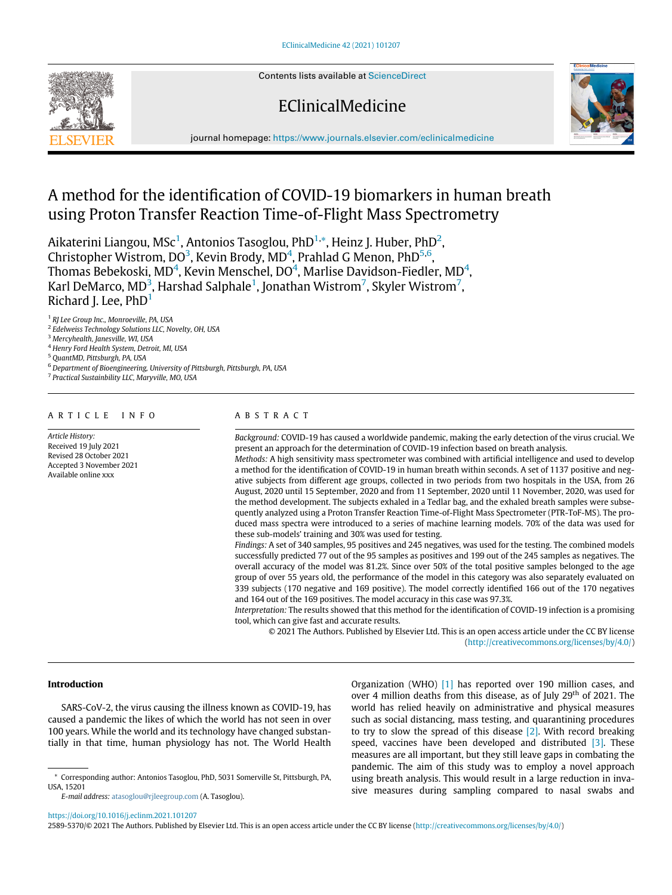Contents lists available at [ScienceDirect](http://www.ScienceDirect.com)

EClinicalMedicine



journal homepage: [https://www.journals.elsevier.com/eclinicalmedicine](http://https://www.journals.elsevier.com/eclinicalmedicine)

# A method for the identification of COVID-19 biomarkers in human breath using Proton Transfer Reaction Time-of-Flight Mass Spectrometry

Aikaterini Liangou, MSc $^1$  $^1$ , Antonios Tasoglou, PhD $^{1,\ast}$ , Heinz J. Huber, PhD $^2$ , Christopher Wistrom, DO<sup>[3](#page-2-3)</sup>, Kevin Brody, MD<sup>[4](#page-2-4)</sup>, Prahlad G Menon, PhD<sup>[5](#page-2-5)[,6](#page-2-6)</sup>, Thomas Bebekoski, MD $^4$  $^4$ , Kevin Menschel, DO $^4$ , Marlise Davidson-Fiedler, MD $^4$ , Karl DeMarco, MD $^3$  $^3$ , Harshad Salphale $^1$  $^1$ , Jonathan Wistrom $^7$  $^7$ , Skyler Wistrom $^7$ , Richard J. Lee,  $PhD<sup>1</sup>$  $PhD<sup>1</sup>$  $PhD<sup>1</sup>$ 

<span id="page-2-0"></span><sup>1</sup> RJ Lee Group Inc., Monroeville, PA, USA

- <span id="page-2-2"></span><sup>2</sup> Edelweiss Technology Solutions LLC, Novelty, OH, USA
- <span id="page-2-3"></span><sup>3</sup> Mercyhealth, Janesville, WI, USA
- <span id="page-2-4"></span><sup>4</sup> Henry Ford Health System, Detroit, MI, USA
- <span id="page-2-5"></span><sup>5</sup> QuantMD, Pittsburgh, PA, USA
- <span id="page-2-6"></span><sup>6</sup> Department of Bioengineering, University of Pittsburgh, Pittsburgh, PA, USA

<span id="page-2-7"></span><sup>7</sup> Practical Sustainbility LLC, Maryville, MO, USA

#### ARTICLE INFO

Article History: Received 19 July 2021 Revised 28 October 2021 Accepted 3 November 2021 Available online xxx

#### ABSTRACT

Background: COVID-19 has caused a worldwide pandemic, making the early detection of the virus crucial. We present an approach for the determination of COVID-19 infection based on breath analysis.

Methods: A high sensitivity mass spectrometer was combined with artificial intelligence and used to develop a method for the identification of COVID-19 in human breath within seconds. A set of 1137 positive and negative subjects from different age groups, collected in two periods from two hospitals in the USA, from 26 August, 2020 until 15 September, 2020 and from 11 September, 2020 until 11 November, 2020, was used for the method development. The subjects exhaled in a Tedlar bag, and the exhaled breath samples were subsequently analyzed using a Proton Transfer Reaction Time-of-Flight Mass Spectrometer (PTR-ToF-MS). The produced mass spectra were introduced to a series of machine learning models. 70% of the data was used for these sub-models' training and 30% was used for testing.

Findings: A set of 340 samples, 95 positives and 245 negatives, was used for the testing. The combined models successfully predicted 77 out of the 95 samples as positives and 199 out of the 245 samples as negatives. The overall accuracy of the model was 81.2%. Since over 50% of the total positive samples belonged to the age group of over 55 years old, the performance of the model in this category was also separately evaluated on 339 subjects (170 negative and 169 positive). The model correctly identified 166 out of the 170 negatives and 164 out of the 169 positives. The model accuracy in this case was 97.3%.

Interpretation: The results showed that this method for the identification of COVID-19 infection is a promising tool, which can give fast and accurate results.

© 2021 The Authors. Published by Elsevier Ltd. This is an open access article under the CC BY license ([http://creativecommons.org/licenses/by/4.0/\)](http://creativecommons.org/licenses/by/4.0/)

#### Introduction

SARS-CoV-2, the virus causing the illness known as COVID-19, has caused a pandemic the likes of which the world has not seen in over 100 years. While the world and its technology have changed substantially in that time, human physiology has not. The World Health Organization (WHO) [\[1\]](#page-10-0) has reported over 190 million cases, and over 4 million deaths from this disease, as of July 29<sup>th</sup> of 2021. The world has relied heavily on administrative and physical measures such as social distancing, mass testing, and quarantining procedures to try to slow the spread of this disease [\[2\]](#page-10-1). With record breaking speed, vaccines have been developed and distributed [\[3\]](#page-10-2). These measures are all important, but they still leave gaps in combating the pandemic. The aim of this study was to employ a novel approach using breath analysis. This would result in a large reduction in invasive measures during sampling compared to nasal swabs and

2589-5370/© 2021 The Authors. Published by Elsevier Ltd. This is an open access article under the CC BY license ([http://creativecommons.org/licenses/by/4.0/\)](http://creativecommons.org/licenses/by/4.0/)

<span id="page-2-1"></span><sup>\*</sup> Corresponding author: Antonios Tasoglou, PhD, 5031 Somerville St, Pittsburgh, PA, USA, 15201

E-mail address: [atasoglou@rjleegroup.com](mailto:atasoglou@rjleegroup.com) (A. Tasoglou).

<https://doi.org/10.1016/j.eclinm.2021.101207>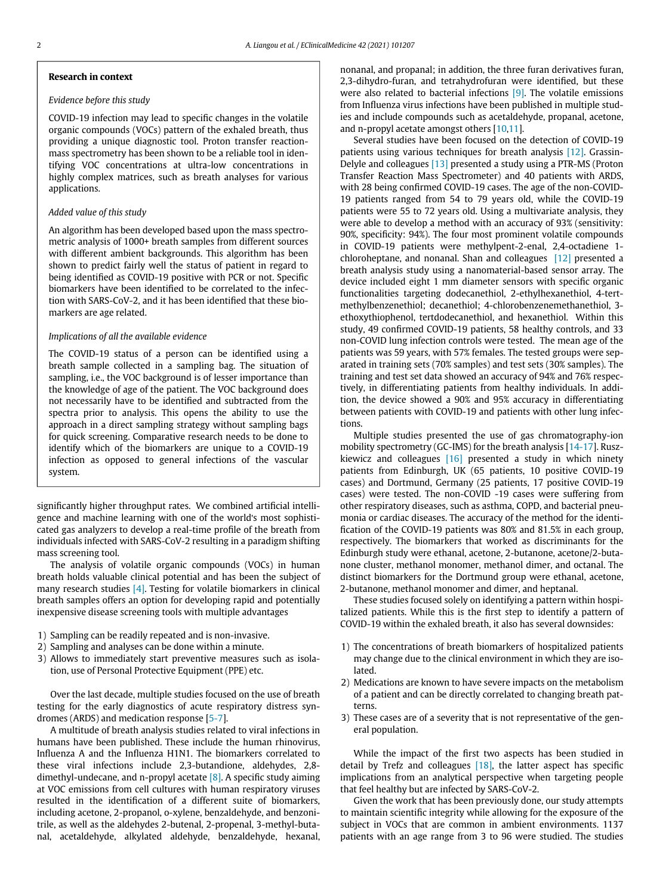#### Research in context

#### Evidence before this study

COVID-19 infection may lead to specific changes in the volatile organic compounds (VOCs) pattern of the exhaled breath, thus providing a unique diagnostic tool. Proton transfer reactionmass spectrometry has been shown to be a reliable tool in identifying VOC concentrations at ultra-low concentrations in highly complex matrices, such as breath analyses for various applications.

#### Added value of this study

An algorithm has been developed based upon the mass spectrometric analysis of 1000+ breath samples from different sources with different ambient backgrounds. This algorithm has been shown to predict fairly well the status of patient in regard to being identified as COVID-19 positive with PCR or not. Specific biomarkers have been identified to be correlated to the infection with SARS-CoV-2, and it has been identified that these biomarkers are age related.

#### Implications of all the available evidence

The COVID-19 status of a person can be identified using a breath sample collected in a sampling bag. The situation of sampling, i.e., the VOC background is of lesser importance than the knowledge of age of the patient. The VOC background does not necessarily have to be identified and subtracted from the spectra prior to analysis. This opens the ability to use the approach in a direct sampling strategy without sampling bags for quick screening. Comparative research needs to be done to identify which of the biomarkers are unique to a COVID-19 infection as opposed to general infections of the vascular system.

significantly higher throughput rates. We combined artificial intelligence and machine learning with one of the world's most sophisticated gas analyzers to develop a real-time profile of the breath from individuals infected with SARS-CoV-2 resulting in a paradigm shifting mass screening tool.

The analysis of volatile organic compounds (VOCs) in human breath holds valuable clinical potential and has been the subject of many research studies [\[4\]](#page-10-3). Testing for volatile biomarkers in clinical breath samples offers an option for developing rapid and potentially inexpensive disease screening tools with multiple advantages

- 1) Sampling can be readily repeated and is non-invasive.
- 2) Sampling and analyses can be done within a minute.
- 3) Allows to immediately start preventive measures such as isolation, use of Personal Protective Equipment (PPE) etc.

Over the last decade, multiple studies focused on the use of breath testing for the early diagnostics of acute respiratory distress syndromes (ARDS) and medication response [\[5-7\]](#page-10-4).

A multitude of breath analysis studies related to viral infections in humans have been published. These include the human rhinovirus, Influenza A and the Influenza H1N1. The biomarkers correlated to these viral infections include 2,3-butandione, aldehydes, 2,8 dimethyl-undecane, and n-propyl acetate  $\lceil 8 \rceil$ . A specific study aiming at VOC emissions from cell cultures with human respiratory viruses resulted in the identification of a different suite of biomarkers, including acetone, 2-propanol, o-xylene, benzaldehyde, and benzonitrile, as well as the aldehydes 2-butenal, 2-propenal, 3-methyl-butanal, acetaldehyde, alkylated aldehyde, benzaldehyde, hexanal, nonanal, and propanal; in addition, the three furan derivatives furan, 2,3-dihydro-furan, and tetrahydrofuran were identified, but these were also related to bacterial infections [\[9\].](#page-10-6) The volatile emissions from Influenza virus infections have been published in multiple studies and include compounds such as acetaldehyde, propanal, acetone, and n-propyl acetate amongst others [\[10](#page-10-7)[,11](#page-10-8)].

Several studies have been focused on the detection of COVID-19 patients using various techniques for breath analysis [\[12\]](#page-10-9). Grassin-Delyle and colleagues [\[13\]](#page-10-10) presented a study using a PTR-MS (Proton Transfer Reaction Mass Spectrometer) and 40 patients with ARDS, with 28 being confirmed COVID-19 cases. The age of the non-COVID-19 patients ranged from 54 to 79 years old, while the COVID-19 patients were 55 to 72 years old. Using a multivariate analysis, they were able to develop a method with an accuracy of 93% (sensitivity: 90%, specificity: 94%). The four most prominent volatile compounds in COVID-19 patients were methylpent-2-enal, 2,4-octadiene 1 chloroheptane, and nonanal. Shan and colleagues [\[12\]](#page-10-9) presented a breath analysis study using a nanomaterial-based sensor array. The device included eight 1 mm diameter sensors with specific organic functionalities targeting dodecanethiol, 2-ethylhexanethiol, 4-tertmethylbenzenethiol; decanethiol; 4-chlorobenzenemethanethiol, 3 ethoxythiophenol, tertdodecanethiol, and hexanethiol. Within this study, 49 confirmed COVID-19 patients, 58 healthy controls, and 33 non-COVID lung infection controls were tested. The mean age of the patients was 59 years, with 57% females. The tested groups were separated in training sets (70% samples) and test sets (30% samples). The training and test set data showed an accuracy of 94% and 76% respectively, in differentiating patients from healthy individuals. In addition, the device showed a 90% and 95% accuracy in differentiating between patients with COVID-19 and patients with other lung infections.

Multiple studies presented the use of gas chromatography-ion mobility spectrometry (GC-IMS) for the breath analysis [[14-17](#page-10-11)]. Ruszkiewicz and colleagues [\[16\]](#page-10-12) presented a study in which ninety patients from Edinburgh, UK (65 patients, 10 positive COVID-19 cases) and Dortmund, Germany (25 patients, 17 positive COVID-19 cases) were tested. The non-COVID -19 cases were suffering from other respiratory diseases, such as asthma, COPD, and bacterial pneumonia or cardiac diseases. The accuracy of the method for the identification of the COVID-19 patients was 80% and 81.5% in each group, respectively. The biomarkers that worked as discriminants for the Edinburgh study were ethanal, acetone, 2-butanone, acetone/2-butanone cluster, methanol monomer, methanol dimer, and octanal. The distinct biomarkers for the Dortmund group were ethanal, acetone, 2-butanone, methanol monomer and dimer, and heptanal.

These studies focused solely on identifying a pattern within hospitalized patients. While this is the first step to identify a pattern of COVID-19 within the exhaled breath, it also has several downsides:

- 1) The concentrations of breath biomarkers of hospitalized patients may change due to the clinical environment in which they are isolated.
- 2) Medications are known to have severe impacts on the metabolism of a patient and can be directly correlated to changing breath patterns.
- 3) These cases are of a severity that is not representative of the general population.

While the impact of the first two aspects has been studied in detail by Trefz and colleagues  $[18]$ , the latter aspect has specific implications from an analytical perspective when targeting people that feel healthy but are infected by SARS-CoV-2.

Given the work that has been previously done, our study attempts to maintain scientific integrity while allowing for the exposure of the subject in VOCs that are common in ambient environments. 1137 patients with an age range from 3 to 96 were studied. The studies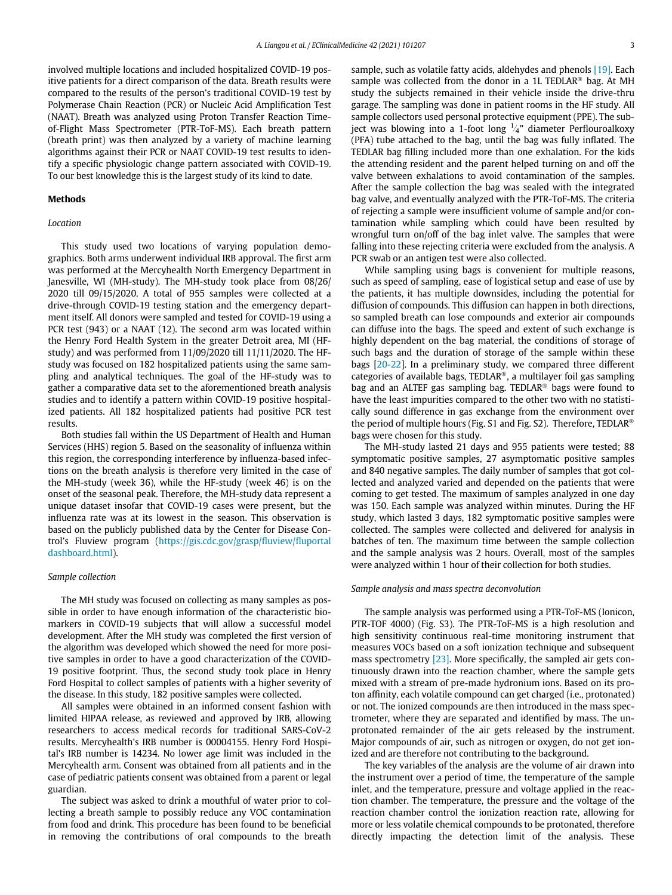involved multiple locations and included hospitalized COVID-19 positive patients for a direct comparison of the data. Breath results were compared to the results of the person's traditional COVID-19 test by Polymerase Chain Reaction (PCR) or Nucleic Acid Amplification Test (NAAT). Breath was analyzed using Proton Transfer Reaction Timeof-Flight Mass Spectrometer (PTR-ToF-MS). Each breath pattern (breath print) was then analyzed by a variety of machine learning algorithms against their PCR or NAAT COVID-19 test results to identify a specific physiologic change pattern associated with COVID-19. To our best knowledge this is the largest study of its kind to date.

#### Methods

#### Location

This study used two locations of varying population demographics. Both arms underwent individual IRB approval. The first arm was performed at the Mercyhealth North Emergency Department in Janesville, WI (MH-study). The MH-study took place from 08/26/ 2020 till 09/15/2020. A total of 955 samples were collected at a drive-through COVID-19 testing station and the emergency department itself. All donors were sampled and tested for COVID-19 using a PCR test (943) or a NAAT (12). The second arm was located within the Henry Ford Health System in the greater Detroit area, MI (HFstudy) and was performed from 11/09/2020 till 11/11/2020. The HFstudy was focused on 182 hospitalized patients using the same sampling and analytical techniques. The goal of the HF-study was to gather a comparative data set to the aforementioned breath analysis studies and to identify a pattern within COVID-19 positive hospitalized patients. All 182 hospitalized patients had positive PCR test results.

Both studies fall within the US Department of Health and Human Services (HHS) region 5. Based on the seasonality of influenza within this region, the corresponding interference by influenza-based infections on the breath analysis is therefore very limited in the case of the MH-study (week 36), while the HF-study (week 46) is on the onset of the seasonal peak. Therefore, the MH-study data represent a unique dataset insofar that COVID-19 cases were present, but the influenza rate was at its lowest in the season. This observation is based on the publicly published data by the Center for Disease Control's Fluview program ([https://gis.cdc.gov/grasp/](https://gis.cdc.gov/grasp/fluview/fluportaldashboard.html)fluview/fluportal [dashboard.html\)](https://gis.cdc.gov/grasp/fluview/fluportaldashboard.html).

#### Sample collection

The MH study was focused on collecting as many samples as possible in order to have enough information of the characteristic biomarkers in COVID-19 subjects that will allow a successful model development. After the MH study was completed the first version of the algorithm was developed which showed the need for more positive samples in order to have a good characterization of the COVID-19 positive footprint. Thus, the second study took place in Henry Ford Hospital to collect samples of patients with a higher severity of the disease. In this study, 182 positive samples were collected.

All samples were obtained in an informed consent fashion with limited HIPAA release, as reviewed and approved by IRB, allowing researchers to access medical records for traditional SARS-CoV-2 results. Mercyhealth's IRB number is 00004155. Henry Ford Hospital's IRB number is 14234. No lower age limit was included in the Mercyhealth arm. Consent was obtained from all patients and in the case of pediatric patients consent was obtained from a parent or legal guardian.

The subject was asked to drink a mouthful of water prior to collecting a breath sample to possibly reduce any VOC contamination from food and drink. This procedure has been found to be beneficial in removing the contributions of oral compounds to the breath

sample, such as volatile fatty acids, aldehydes and phenols [\[19\]](#page-10-14). Each sample was collected from the donor in a 1L TEDLAR<sup>®</sup> bag. At MH study the subjects remained in their vehicle inside the drive-thru garage. The sampling was done in patient rooms in the HF study. All sample collectors used personal protective equipment (PPE). The subject was blowing into a 1-foot long  $\frac{1}{4}$ " diameter Perflouroalkoxy (PFA) tube attached to the bag, until the bag was fully inflated. The TEDLAR bag filling included more than one exhalation. For the kids the attending resident and the parent helped turning on and off the valve between exhalations to avoid contamination of the samples. After the sample collection the bag was sealed with the integrated bag valve, and eventually analyzed with the PTR-ToF-MS. The criteria of rejecting a sample were insufficient volume of sample and/or contamination while sampling which could have been resulted by wrongful turn on/off of the bag inlet valve. The samples that were falling into these rejecting criteria were excluded from the analysis. A PCR swab or an antigen test were also collected.

While sampling using bags is convenient for multiple reasons, such as speed of sampling, ease of logistical setup and ease of use by the patients, it has multiple downsides, including the potential for diffusion of compounds. This diffusion can happen in both directions, so sampled breath can lose compounds and exterior air compounds can diffuse into the bags. The speed and extent of such exchange is highly dependent on the bag material, the conditions of storage of such bags and the duration of storage of the sample within these bags [\[20-22\]](#page-10-15). In a preliminary study, we compared three different categories of available bags, TEDLAR®, a multilayer foil gas sampling bag and an ALTEF gas sampling bag. TEDLAR<sup>®</sup> bags were found to have the least impurities compared to the other two with no statistically sound difference in gas exchange from the environment over the period of multiple hours (Fig. S1 and Fig. S2). Therefore, TEDLAR<sup>®</sup> bags were chosen for this study.

The MH-study lasted 21 days and 955 patients were tested; 88 symptomatic positive samples, 27 asymptomatic positive samples and 840 negative samples. The daily number of samples that got collected and analyzed varied and depended on the patients that were coming to get tested. The maximum of samples analyzed in one day was 150. Each sample was analyzed within minutes. During the HF study, which lasted 3 days, 182 symptomatic positive samples were collected. The samples were collected and delivered for analysis in batches of ten. The maximum time between the sample collection and the sample analysis was 2 hours. Overall, most of the samples were analyzed within 1 hour of their collection for both studies.

#### Sample analysis and mass spectra deconvolution

The sample analysis was performed using a PTR-ToF-MS (Ionicon, PTR-TOF 4000) (Fig. S3). The PTR-ToF-MS is a high resolution and high sensitivity continuous real-time monitoring instrument that measures VOCs based on a soft ionization technique and subsequent mass spectrometry [\[23\]](#page-11-0). More specifically, the sampled air gets continuously drawn into the reaction chamber, where the sample gets mixed with a stream of pre-made hydronium ions. Based on its proton affinity, each volatile compound can get charged (i.e., protonated) or not. The ionized compounds are then introduced in the mass spectrometer, where they are separated and identified by mass. The unprotonated remainder of the air gets released by the instrument. Major compounds of air, such as nitrogen or oxygen, do not get ionized and are therefore not contributing to the background.

The key variables of the analysis are the volume of air drawn into the instrument over a period of time, the temperature of the sample inlet, and the temperature, pressure and voltage applied in the reaction chamber. The temperature, the pressure and the voltage of the reaction chamber control the ionization reaction rate, allowing for more or less volatile chemical compounds to be protonated, therefore directly impacting the detection limit of the analysis. These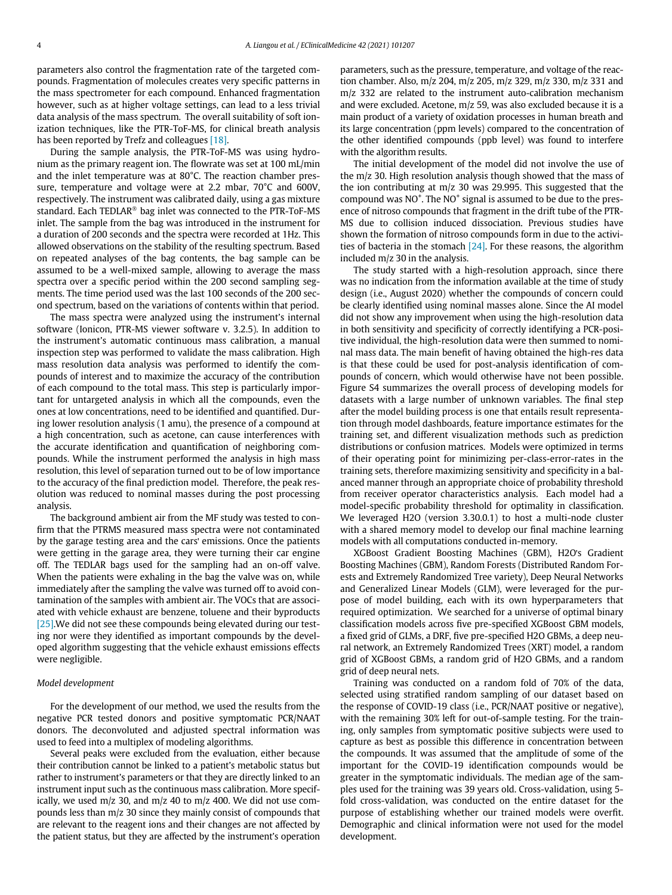parameters also control the fragmentation rate of the targeted compounds. Fragmentation of molecules creates very specific patterns in the mass spectrometer for each compound. Enhanced fragmentation however, such as at higher voltage settings, can lead to a less trivial data analysis of the mass spectrum. The overall suitability of soft ionization techniques, like the PTR-ToF-MS, for clinical breath analysis has been reported by Trefz and colleagues [\[18\]](#page-10-13).

During the sample analysis, the PTR-ToF-MS was using hydronium as the primary reagent ion. The flowrate was set at 100 mL/min and the inlet temperature was at 80°C. The reaction chamber pressure, temperature and voltage were at 2.2 mbar, 70°C and 600V, respectively. The instrument was calibrated daily, using a gas mixture standard. Each TEDLAR<sup>®</sup> bag inlet was connected to the PTR-ToF-MS inlet. The sample from the bag was introduced in the instrument for a duration of 200 seconds and the spectra were recorded at 1Hz. This allowed observations on the stability of the resulting spectrum. Based on repeated analyses of the bag contents, the bag sample can be assumed to be a well-mixed sample, allowing to average the mass spectra over a specific period within the 200 second sampling segments. The time period used was the last 100 seconds of the 200 second spectrum, based on the variations of contents within that period.

The mass spectra were analyzed using the instrument's internal software (Ionicon, PTR-MS viewer software v. 3.2.5). In addition to the instrument's automatic continuous mass calibration, a manual inspection step was performed to validate the mass calibration. High mass resolution data analysis was performed to identify the compounds of interest and to maximize the accuracy of the contribution of each compound to the total mass. This step is particularly important for untargeted analysis in which all the compounds, even the ones at low concentrations, need to be identified and quantified. During lower resolution analysis (1 amu), the presence of a compound at a high concentration, such as acetone, can cause interferences with the accurate identification and quantification of neighboring compounds. While the instrument performed the analysis in high mass resolution, this level of separation turned out to be of low importance to the accuracy of the final prediction model. Therefore, the peak resolution was reduced to nominal masses during the post processing analysis.

The background ambient air from the MF study was tested to confirm that the PTRMS measured mass spectra were not contaminated by the garage testing area and the cars' emissions. Once the patients were getting in the garage area, they were turning their car engine off. The TEDLAR bags used for the sampling had an on-off valve. When the patients were exhaling in the bag the valve was on, while immediately after the sampling the valve was turned off to avoid contamination of the samples with ambient air. The VOCs that are associated with vehicle exhaust are benzene, toluene and their byproducts [\[25\].](#page-11-1) We did not see these compounds being elevated during our testing nor were they identified as important compounds by the developed algorithm suggesting that the vehicle exhaust emissions effects were negligible.

#### Model development

For the development of our method, we used the results from the negative PCR tested donors and positive symptomatic PCR/NAAT donors. The deconvoluted and adjusted spectral information was used to feed into a multiplex of modeling algorithms.

Several peaks were excluded from the evaluation, either because their contribution cannot be linked to a patient's metabolic status but rather to instrument's parameters or that they are directly linked to an instrument input such as the continuous mass calibration. More specifically, we used  $m/z$  30, and  $m/z$  40 to  $m/z$  400. We did not use compounds less than m/z 30 since they mainly consist of compounds that are relevant to the reagent ions and their changes are not affected by the patient status, but they are affected by the instrument's operation parameters, such as the pressure, temperature, and voltage of the reaction chamber. Also, m/z 204, m/z 205, m/z 329, m/z 330, m/z 331 and m/z 332 are related to the instrument auto-calibration mechanism and were excluded. Acetone, m/z 59, was also excluded because it is a main product of a variety of oxidation processes in human breath and its large concentration (ppm levels) compared to the concentration of the other identified compounds (ppb level) was found to interfere with the algorithm results.

The initial development of the model did not involve the use of the m/z 30. High resolution analysis though showed that the mass of the ion contributing at m/z 30 was 29.995. This suggested that the compound was NO<sup>+</sup>. The NO<sup>+</sup> signal is assumed to be due to the presence of nitroso compounds that fragment in the drift tube of the PTR-MS due to collision induced dissociation. Previous studies have shown the formation of nitroso compounds form in due to the activities of bacteria in the stomach  $[24]$ . For these reasons, the algorithm included m/z 30 in the analysis.

The study started with a high-resolution approach, since there was no indication from the information available at the time of study design (i.e., August 2020) whether the compounds of concern could be clearly identified using nominal masses alone. Since the AI model did not show any improvement when using the high-resolution data in both sensitivity and specificity of correctly identifying a PCR-positive individual, the high-resolution data were then summed to nominal mass data. The main benefit of having obtained the high-res data is that these could be used for post-analysis identification of compounds of concern, which would otherwise have not been possible. Figure S4 summarizes the overall process of developing models for datasets with a large number of unknown variables. The final step after the model building process is one that entails result representation through model dashboards, feature importance estimates for the training set, and different visualization methods such as prediction distributions or confusion matrices. Models were optimized in terms of their operating point for minimizing per-class-error-rates in the training sets, therefore maximizing sensitivity and specificity in a balanced manner through an appropriate choice of probability threshold from receiver operator characteristics analysis. Each model had a model-specific probability threshold for optimality in classification. We leveraged H2O (version 3.30.0.1) to host a multi-node cluster with a shared memory model to develop our final machine learning models with all computations conducted in-memory.

XGBoost Gradient Boosting Machines (GBM), H2O's Gradient Boosting Machines (GBM), Random Forests (Distributed Random Forests and Extremely Randomized Tree variety), Deep Neural Networks and Generalized Linear Models (GLM), were leveraged for the purpose of model building, each with its own hyperparameters that required optimization. We searched for a universe of optimal binary classification models across five pre-specified XGBoost GBM models, a fixed grid of GLMs, a DRF, five pre-specified H2O GBMs, a deep neural network, an Extremely Randomized Trees (XRT) model, a random grid of XGBoost GBMs, a random grid of H2O GBMs, and a random grid of deep neural nets.

Training was conducted on a random fold of 70% of the data, selected using stratified random sampling of our dataset based on the response of COVID-19 class (i.e., PCR/NAAT positive or negative), with the remaining 30% left for out-of-sample testing. For the training, only samples from symptomatic positive subjects were used to capture as best as possible this difference in concentration between the compounds. It was assumed that the amplitude of some of the important for the COVID-19 identification compounds would be greater in the symptomatic individuals. The median age of the samples used for the training was 39 years old. Cross-validation, using 5 fold cross-validation, was conducted on the entire dataset for the purpose of establishing whether our trained models were overfit. Demographic and clinical information were not used for the model development.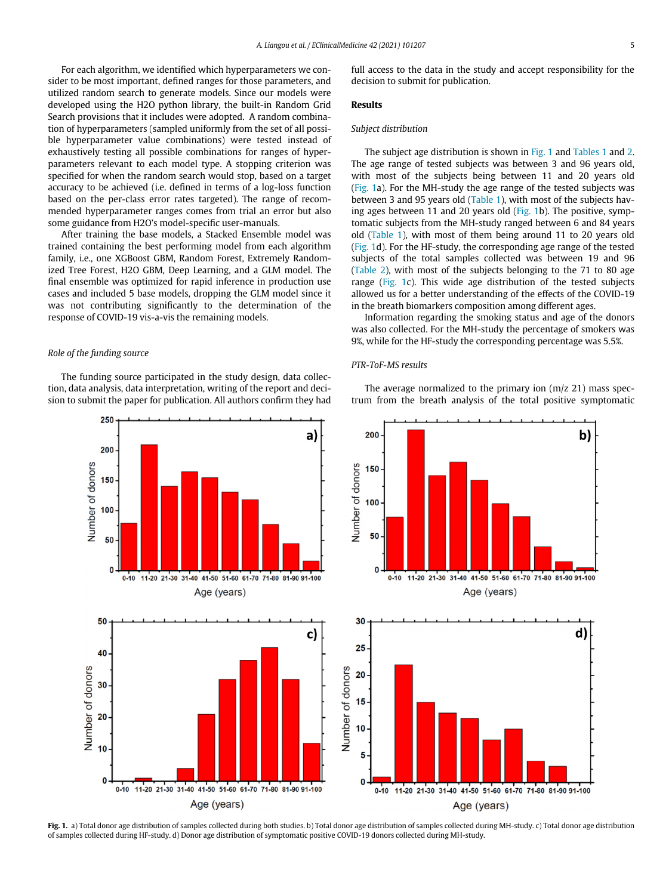For each algorithm, we identified which hyperparameters we consider to be most important, defined ranges for those parameters, and utilized random search to generate models. Since our models were developed using the H2O python library, the built-in Random Grid Search provisions that it includes were adopted. A random combination of hyperparameters (sampled uniformly from the set of all possible hyperparameter value combinations) were tested instead of exhaustively testing all possible combinations for ranges of hyperparameters relevant to each model type. A stopping criterion was specified for when the random search would stop, based on a target accuracy to be achieved (i.e. defined in terms of a log-loss function based on the per-class error rates targeted). The range of recommended hyperparameter ranges comes from trial an error but also some guidance from H2O's model-specific user-manuals.

After training the base models, a Stacked Ensemble model was trained containing the best performing model from each algorithm family, i.e., one XGBoost GBM, Random Forest, Extremely Randomized Tree Forest, H2O GBM, Deep Learning, and a GLM model. The final ensemble was optimized for rapid inference in production use cases and included 5 base models, dropping the GLM model since it was not contributing significantly to the determination of the response of COVID-19 vis-a-vis the remaining models.

#### Role of the funding source

250

 $\mathbf 0$ 

 $0 - 10$ 

<span id="page-6-0"></span>The funding source participated in the study design, data collection, data analysis, data interpretation, writing of the report and decision to submit the paper for publication. All authors confirm they had

> a) 200 Number of donors 150 100 50 ŋ 0-10 11-20 21-30 31-40 41-50 51-60 61-70 71-80 81-90 91-100 Age (years) 50 c) 40 Number of donors 30 20  $10$

> > 11-20 21-30 31-40 41-50 51-60 61-70 71-80 81-90 91-100

Age (years)

full access to the data in the study and accept responsibility for the decision to submit for publication.

#### Results

#### Subject distribution

The subject age distribution is shown in [Fig. 1](#page-6-0) and [Tables 1](#page-7-0) and [2.](#page-7-1) The age range of tested subjects was between 3 and 96 years old, with most of the subjects being between 11 and 20 years old [\(Fig. 1](#page-6-0)a). For the MH-study the age range of the tested subjects was between 3 and 95 years old ([Table 1](#page-7-0)), with most of the subjects having ages between 11 and 20 years old [\(Fig. 1b](#page-6-0)). The positive, symptomatic subjects from the MH-study ranged between 6 and 84 years old [\(Table 1\)](#page-7-0), with most of them being around 11 to 20 years old [\(Fig. 1d](#page-6-0)). For the HF-study, the corresponding age range of the tested subjects of the total samples collected was between 19 and 96 [\(Table 2\)](#page-7-1), with most of the subjects belonging to the 71 to 80 age range [\(Fig. 1c](#page-6-0)). This wide age distribution of the tested subjects allowed us for a better understanding of the effects of the COVID-19 in the breath biomarkers composition among different ages.

Information regarding the smoking status and age of the donors was also collected. For the MH-study the percentage of smokers was 9%, while for the HF-study the corresponding percentage was 5.5%.

#### PTR-ToF-MS results

The average normalized to the primary ion (m/z 21) mass spectrum from the breath analysis of the total positive symptomatic



Fig. 1. a) Total donor age distribution of samples collected during both studies. b) Total donor age distribution of samples collected during MH-study. c) Total donor age distribution of samples collected during HF-study. d) Donor age distribution of symptomatic positive COVID-19 donors collected during MH-study.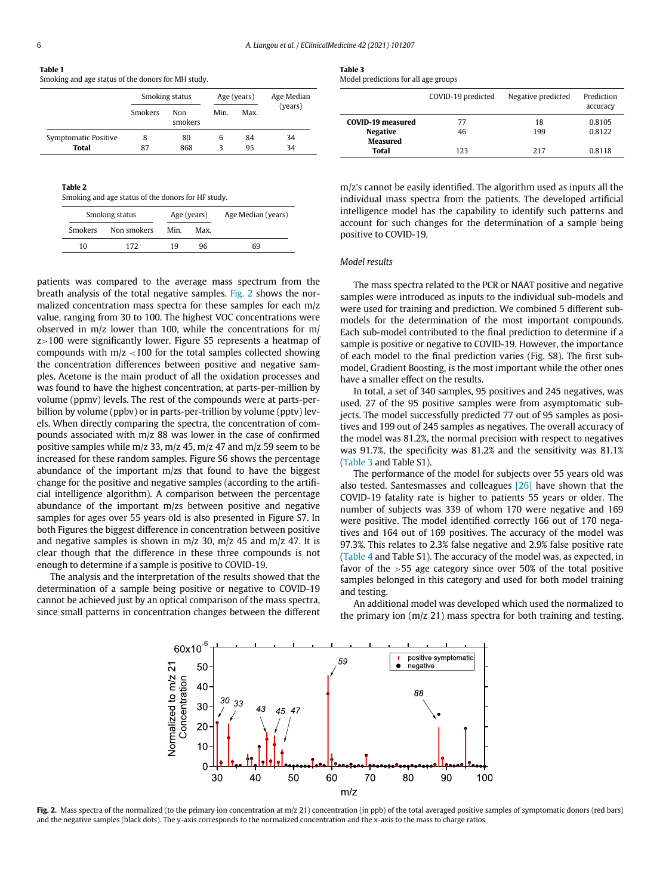<span id="page-7-0"></span>

| × | I | I |  |
|---|---|---|--|
|   |   |   |  |
|   |   |   |  |

<span id="page-7-3"></span>

| Table 1                                            |  |  |
|----------------------------------------------------|--|--|
| Smoking and age status of the donors for MH study. |  |  |

|                                      | Smoking status |                | Age (years) |          | Age Median |
|--------------------------------------|----------------|----------------|-------------|----------|------------|
|                                      | <b>Smokers</b> | Non<br>smokers | Min.        | Max.     | (years)    |
| Symptomatic Positive<br><b>Total</b> | 8<br>87        | 80<br>868      | 6<br>ર      | 84<br>95 | 34<br>34   |

<span id="page-7-1"></span>

| Table 2                                            |
|----------------------------------------------------|
| Smoking and age status of the donors for HF study. |

| Smoking status |             | Age (years) |      | Age Median (years) |
|----------------|-------------|-------------|------|--------------------|
| <b>Smokers</b> | Non smokers | Min         | Max. |                    |
| 10             | 172         | 19          | 96   | 69                 |

patients was compared to the average mass spectrum from the breath analysis of the total negative samples. [Fig. 2](#page-7-2) shows the normalized concentration mass spectra for these samples for each m/z value, ranging from 30 to 100. The highest VOC concentrations were observed in m/z lower than 100, while the concentrations for m/ z>100 were significantly lower. Figure S5 represents a heatmap of compounds with m/z <100 for the total samples collected showing the concentration differences between positive and negative samples. Acetone is the main product of all the oxidation processes and was found to have the highest concentration, at parts-per-million by volume (ppmv) levels. The rest of the compounds were at parts-perbillion by volume (ppbv) or in parts-per-trillion by volume (pptv) levels. When directly comparing the spectra, the concentration of compounds associated with m/z 88 was lower in the case of confirmed positive samples while m/z 33, m/z 45, m/z 47 and m/z 59 seem to be increased for these random samples. Figure S6 shows the percentage abundance of the important m/zs that found to have the biggest change for the positive and negative samples (according to the artificial intelligence algorithm). A comparison between the percentage abundance of the important m/zs between positive and negative samples for ages over 55 years old is also presented in Figure S7. In both Figures the biggest difference in concentration between positive and negative samples is shown in  $m/z$  30,  $m/z$  45 and  $m/z$  47. It is clear though that the difference in these three compounds is not enough to determine if a sample is positive to COVID-19.

<span id="page-7-2"></span>The analysis and the interpretation of the results showed that the determination of a sample being positive or negative to COVID-19 cannot be achieved just by an optical comparison of the mass spectra, since small patterns in concentration changes between the different

Model predictions for all age groups

|                                    | COVID-19 predicted | Negative predicted | Prediction<br>accuracy |
|------------------------------------|--------------------|--------------------|------------------------|
| <b>COVID-19 measured</b>           | 77                 | 18                 | 0.8105                 |
| <b>Negative</b><br><b>Measured</b> | 46                 | 199                | 0.8122                 |
| Total                              | 123                | 217                | 0.8118                 |

m/z's cannot be easily identified. The algorithm used as inputs all the individual mass spectra from the patients. The developed artificial intelligence model has the capability to identify such patterns and account for such changes for the determination of a sample being positive to COVID-19.

#### Model results

The mass spectra related to the PCR or NAAT positive and negative samples were introduced as inputs to the individual sub-models and were used for training and prediction. We combined 5 different submodels for the determination of the most important compounds. Each sub-model contributed to the final prediction to determine if a sample is positive or negative to COVID-19. However, the importance of each model to the final prediction varies (Fig. S8). The first submodel, Gradient Boosting, is the most important while the other ones have a smaller effect on the results.

In total, a set of 340 samples, 95 positives and 245 negatives, was used. 27 of the 95 positive samples were from asymptomatic subjects. The model successfully predicted 77 out of 95 samples as positives and 199 out of 245 samples as negatives. The overall accuracy of the model was 81.2%, the normal precision with respect to negatives was 91.7%, the specificity was 81.2% and the sensitivity was 81.1% ([Table 3](#page-7-3) and Table S1).

The performance of the model for subjects over 55 years old was also tested. Santesmasses and colleagues [\[26\]](#page-11-3) have shown that the COVID-19 fatality rate is higher to patients 55 years or older. The number of subjects was 339 of whom 170 were negative and 169 were positive. The model identified correctly 166 out of 170 negatives and 164 out of 169 positives. The accuracy of the model was 97.3%. This relates to 2.3% false negative and 2.9% false positive rate ([Table 4](#page-8-0) and Table S1). The accuracy of the model was, as expected, in favor of the >55 age category since over 50% of the total positive samples belonged in this category and used for both model training and testing.

An additional model was developed which used the normalized to the primary ion  $(m/z 21)$  mass spectra for both training and testing.



Fig. 2. Mass spectra of the normalized (to the primary ion concentration at m/z 21) concentration (in ppb) of the total averaged positive samples of symptomatic donors (red bars) and the negative samples (black dots). The y-axis corresponds to the normalized concentration and the x-axis to the mass to charge ratios.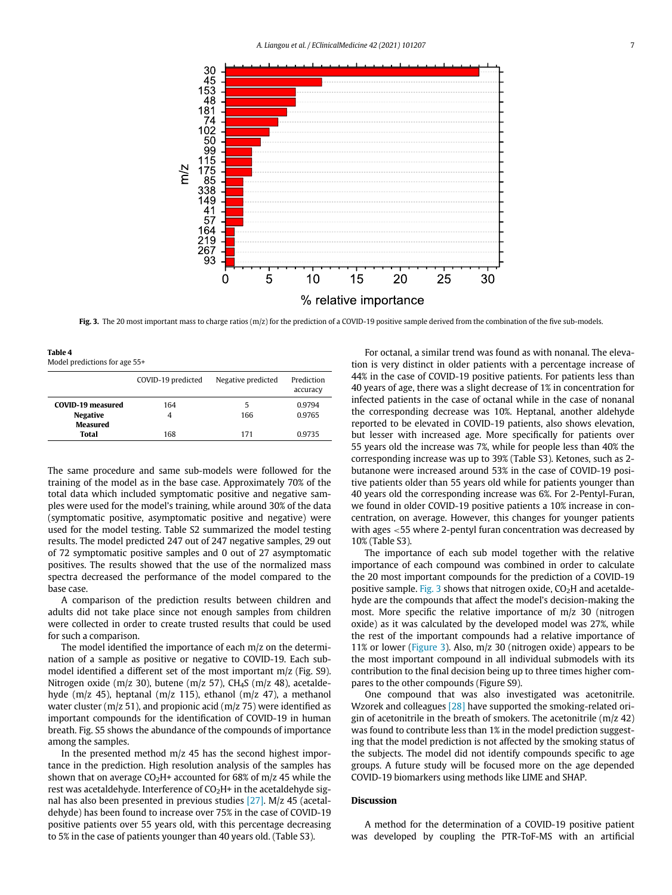<span id="page-8-1"></span>

Fig. 3. The 20 most important mass to charge ratios (m/z) for the prediction of a COVID-19 positive sample derived from the combination of the five sub-models.

<span id="page-8-0"></span>Table 4 Model predictions for age 55+

|                          | COVID-19 predicted | Negative predicted | Prediction<br>accuracy |
|--------------------------|--------------------|--------------------|------------------------|
| <b>COVID-19 measured</b> | 164                | 5                  | 0.9794                 |
| <b>Negative</b>          | 4                  | 166                | 0.9765                 |
| <b>Measured</b>          |                    |                    |                        |
| Total                    | 168                | 171                | 0.9735                 |

The same procedure and same sub-models were followed for the training of the model as in the base case. Approximately 70% of the total data which included symptomatic positive and negative samples were used for the model's training, while around 30% of the data (symptomatic positive, asymptomatic positive and negative) were used for the model testing. Table S2 summarized the model testing results. The model predicted 247 out of 247 negative samples, 29 out of 72 symptomatic positive samples and 0 out of 27 asymptomatic positives. The results showed that the use of the normalized mass spectra decreased the performance of the model compared to the base case.

A comparison of the prediction results between children and adults did not take place since not enough samples from children were collected in order to create trusted results that could be used for such a comparison.

The model identified the importance of each m/z on the determination of a sample as positive or negative to COVID-19. Each submodel identified a different set of the most important m/z (Fig. S9). Nitrogen oxide (m/z 30), butene (m/z 57), CH<sub>4</sub>S (m/z 48), acetaldehyde (m/z 45), heptanal (m/z 115), ethanol (m/z 47), a methanol water cluster (m/z 51), and propionic acid (m/z 75) were identified as important compounds for the identification of COVID-19 in human breath. Fig. S5 shows the abundance of the compounds of importance among the samples.

In the presented method  $m/z$  45 has the second highest importance in the prediction. High resolution analysis of the samples has shown that on average  $CO<sub>2</sub>H<sup>+</sup>$  accounted for 68% of m/z 45 while the rest was acetaldehyde. Interference of  $CO<sub>2</sub>H<sup>+</sup>$  in the acetaldehyde signal has also been presented in previous studies [\[27\].](#page-11-4) M/z 45 (acetaldehyde) has been found to increase over 75% in the case of COVID-19 positive patients over 55 years old, with this percentage decreasing to 5% in the case of patients younger than 40 years old. (Table S3).

For octanal, a similar trend was found as with nonanal. The elevation is very distinct in older patients with a percentage increase of 44% in the case of COVID-19 positive patients. For patients less than 40 years of age, there was a slight decrease of 1% in concentration for infected patients in the case of octanal while in the case of nonanal the corresponding decrease was 10%. Heptanal, another aldehyde reported to be elevated in COVID-19 patients, also shows elevation, but lesser with increased age. More specifically for patients over 55 years old the increase was 7%, while for people less than 40% the corresponding increase was up to 39% (Table S3). Ketones, such as 2 butanone were increased around 53% in the case of COVID-19 positive patients older than 55 years old while for patients younger than 40 years old the corresponding increase was 6%. For 2-Pentyl-Furan, we found in older COVID-19 positive patients a 10% increase in concentration, on average. However, this changes for younger patients with ages <55 where 2-pentyl furan concentration was decreased by 10% (Table S3).

The importance of each sub model together with the relative importance of each compound was combined in order to calculate the 20 most important compounds for the prediction of a COVID-19 positive sample. [Fig. 3](#page-8-1) shows that nitrogen oxide,  $CO<sub>2</sub>H$  and acetaldehyde are the compounds that affect the model's decision-making the most. More specific the relative importance of m/z 30 (nitrogen oxide) as it was calculated by the developed model was 27%, while the rest of the important compounds had a relative importance of 11% or lower ([Figure 3\)](#page-8-1). Also, m/z 30 (nitrogen oxide) appears to be the most important compound in all individual submodels with its contribution to the final decision being up to three times higher compares to the other compounds (Figure S9).

One compound that was also investigated was acetonitrile. Wzorek and colleagues [\[28\]](#page-11-5) have supported the smoking-related origin of acetonitrile in the breath of smokers. The acetonitrile (m/z 42) was found to contribute less than 1% in the model prediction suggesting that the model prediction is not affected by the smoking status of the subjects. The model did not identify compounds specific to age groups. A future study will be focused more on the age depended COVID-19 biomarkers using methods like LIME and SHAP.

#### Discussion

A method for the determination of a COVID-19 positive patient was developed by coupling the PTR-ToF-MS with an artificial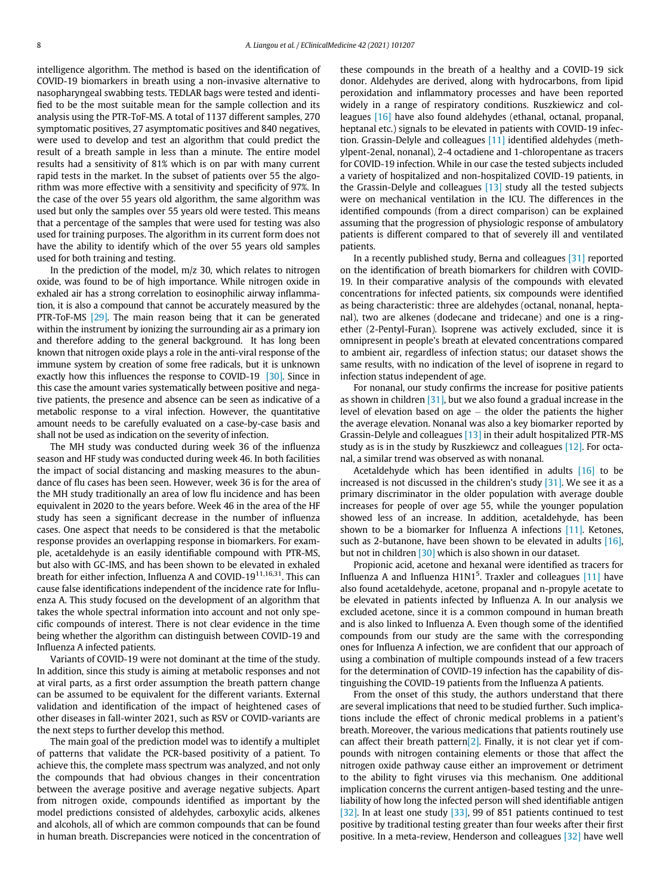intelligence algorithm. The method is based on the identification of COVID-19 biomarkers in breath using a non-invasive alternative to nasopharyngeal swabbing tests. TEDLAR bags were tested and identified to be the most suitable mean for the sample collection and its analysis using the PTR-ToF-MS. A total of 1137 different samples, 270 symptomatic positives, 27 asymptomatic positives and 840 negatives, were used to develop and test an algorithm that could predict the result of a breath sample in less than a minute. The entire model results had a sensitivity of 81% which is on par with many current rapid tests in the market. In the subset of patients over 55 the algorithm was more effective with a sensitivity and specificity of 97%. In the case of the over 55 years old algorithm, the same algorithm was used but only the samples over 55 years old were tested. This means that a percentage of the samples that were used for testing was also used for training purposes. The algorithm in its current form does not have the ability to identify which of the over 55 years old samples used for both training and testing.

In the prediction of the model, m/z 30, which relates to nitrogen oxide, was found to be of high importance. While nitrogen oxide in exhaled air has a strong correlation to eosinophilic airway inflammation, it is also a compound that cannot be accurately measured by the PTR-ToF-MS [\[29\]](#page-11-6). The main reason being that it can be generated within the instrument by ionizing the surrounding air as a primary ion and therefore adding to the general background. It has long been known that nitrogen oxide plays a role in the anti-viral response of the immune system by creation of some free radicals, but it is unknown exactly how this influences the response to COVID-19 [\[30\]](#page-11-7). Since in this case the amount varies systematically between positive and negative patients, the presence and absence can be seen as indicative of a metabolic response to a viral infection. However, the quantitative amount needs to be carefully evaluated on a case-by-case basis and shall not be used as indication on the severity of infection.

The MH study was conducted during week 36 of the influenza season and HF study was conducted during week 46. In both facilities the impact of social distancing and masking measures to the abundance of flu cases has been seen. However, week 36 is for the area of the MH study traditionally an area of low flu incidence and has been equivalent in 2020 to the years before. Week 46 in the area of the HF study has seen a significant decrease in the number of influenza cases. One aspect that needs to be considered is that the metabolic response provides an overlapping response in biomarkers. For example, acetaldehyde is an easily identifiable compound with PTR-MS, but also with GC-IMS, and has been shown to be elevated in exhaled breath for either infection, Influenza A and COVID-19 $11,16,31$ . This can cause false identifications independent of the incidence rate for Influenza A. This study focused on the development of an algorithm that takes the whole spectral information into account and not only specific compounds of interest. There is not clear evidence in the time being whether the algorithm can distinguish between COVID-19 and Influenza A infected patients.

Variants of COVID-19 were not dominant at the time of the study. In addition, since this study is aiming at metabolic responses and not at viral parts, as a first order assumption the breath pattern change can be assumed to be equivalent for the different variants. External validation and identification of the impact of heightened cases of other diseases in fall-winter 2021, such as RSV or COVID-variants are the next steps to further develop this method.

The main goal of the prediction model was to identify a multiplet of patterns that validate the PCR-based positivity of a patient. To achieve this, the complete mass spectrum was analyzed, and not only the compounds that had obvious changes in their concentration between the average positive and average negative subjects. Apart from nitrogen oxide, compounds identified as important by the model predictions consisted of aldehydes, carboxylic acids, alkenes and alcohols, all of which are common compounds that can be found in human breath. Discrepancies were noticed in the concentration of these compounds in the breath of a healthy and a COVID-19 sick donor. Aldehydes are derived, along with hydrocarbons, from lipid peroxidation and inflammatory processes and have been reported widely in a range of respiratory conditions. Ruszkiewicz and colleagues [\[16\]](#page-10-12) have also found aldehydes (ethanal, octanal, propanal, heptanal etc.) signals to be elevated in patients with COVID-19 infection. Grassin-Delyle and colleagues [\[11\]](#page-10-8) identified aldehydes (methylpent-2enal, nonanal), 2-4 octadiene and 1-chloropentane as tracers for COVID-19 infection. While in our case the tested subjects included a variety of hospitalized and non-hospitalized COVID-19 patients, in the Grassin-Delyle and colleagues  $[13]$  study all the tested subjects were on mechanical ventilation in the ICU. The differences in the identified compounds (from a direct comparison) can be explained assuming that the progression of physiologic response of ambulatory patients is different compared to that of severely ill and ventilated patients.

In a recently published study, Berna and colleagues [\[31\]](#page-11-8) reported on the identification of breath biomarkers for children with COVID-19. In their comparative analysis of the compounds with elevated concentrations for infected patients, six compounds were identified as being characteristic: three are aldehydes (octanal, nonanal, heptanal), two are alkenes (dodecane and tridecane) and one is a ringether (2-Pentyl-Furan). Isoprene was actively excluded, since it is omnipresent in people's breath at elevated concentrations compared to ambient air, regardless of infection status; our dataset shows the same results, with no indication of the level of isoprene in regard to infection status independent of age.

For nonanal, our study confirms the increase for positive patients as shown in children  $[31]$ , but we also found a gradual increase in the level of elevation based on age  $-$  the older the patients the higher the average elevation. Nonanal was also a key biomarker reported by Grassin-Delyle and colleagues [\[13\]](#page-10-10) in their adult hospitalized PTR-MS study as is in the study by Ruszkiewcz and colleagues [\[12\].](#page-10-9) For octanal, a similar trend was observed as with nonanal.

Acetaldehyde which has been identified in adults [\[16\]](#page-10-12) to be increased is not discussed in the children's study  $[31]$ . We see it as a primary discriminator in the older population with average double increases for people of over age 55, while the younger population showed less of an increase. In addition, acetaldehyde, has been shown to be a biomarker for Influenza A infections [\[11\]](#page-10-8). Ketones, such as 2-butanone, have been shown to be elevated in adults [\[16\],](#page-10-12) but not in children [\[30\]](#page-11-7) which is also shown in our dataset.

Propionic acid, acetone and hexanal were identified as tracers for Influenza A and Influenza  $H1N1<sup>5</sup>$ . Traxler and colleagues [\[11\]](#page-10-8) have also found acetaldehyde, acetone, propanal and n-propyle acetate to be elevated in patients infected by Influenza A. In our analysis we excluded acetone, since it is a common compound in human breath and is also linked to Influenza A. Even though some of the identified compounds from our study are the same with the corresponding ones for Influenza A infection, we are confident that our approach of using a combination of multiple compounds instead of a few tracers for the determination of COVID-19 infection has the capability of distinguishing the COVID-19 patients from the Influenza A patients.

From the onset of this study, the authors understand that there are several implications that need to be studied further. Such implications include the effect of chronic medical problems in a patient's breath. Moreover, the various medications that patients routinely use can affect their breath pattern[\[2\].](#page-10-1) Finally, it is not clear yet if compounds with nitrogen containing elements or those that affect the nitrogen oxide pathway cause either an improvement or detriment to the ability to fight viruses via this mechanism. One additional implication concerns the current antigen-based testing and the unreliability of how long the infected person will shed identifiable antigen [\[32\]](#page-11-9). In at least one study [\[33\],](#page-11-10) 99 of 851 patients continued to test positive by traditional testing greater than four weeks after their first positive. In a meta-review, Henderson and colleagues [\[32\]](#page-11-9) have well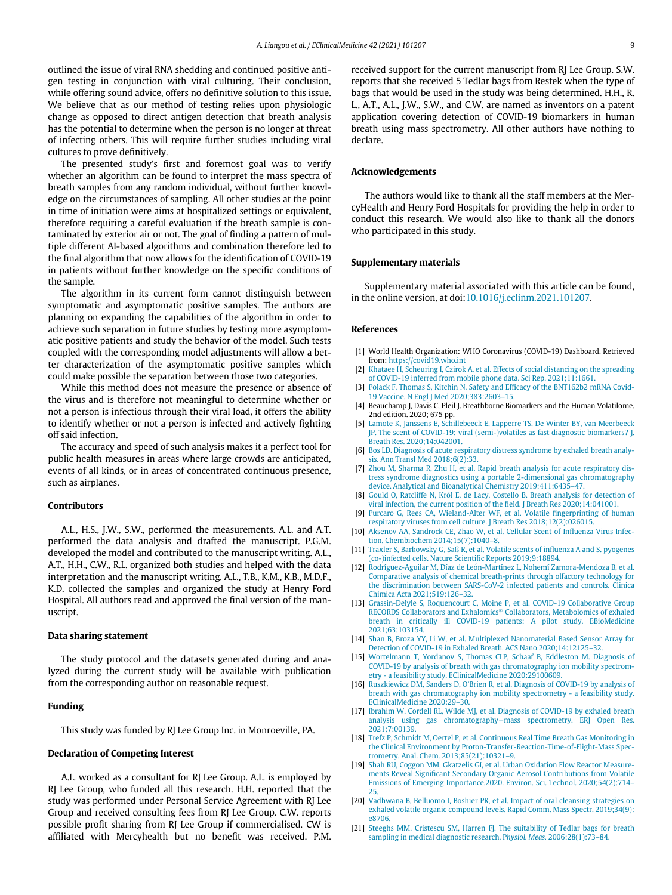outlined the issue of viral RNA shedding and continued positive antigen testing in conjunction with viral culturing. Their conclusion, while offering sound advice, offers no definitive solution to this issue. We believe that as our method of testing relies upon physiologic change as opposed to direct antigen detection that breath analysis has the potential to determine when the person is no longer at threat of infecting others. This will require further studies including viral cultures to prove definitively.

The presented study's first and foremost goal was to verify whether an algorithm can be found to interpret the mass spectra of breath samples from any random individual, without further knowledge on the circumstances of sampling. All other studies at the point in time of initiation were aims at hospitalized settings or equivalent, therefore requiring a careful evaluation if the breath sample is contaminated by exterior air or not. The goal of finding a pattern of multiple different AI-based algorithms and combination therefore led to the final algorithm that now allows for the identification of COVID-19 in patients without further knowledge on the specific conditions of the sample.

The algorithm in its current form cannot distinguish between symptomatic and asymptomatic positive samples. The authors are planning on expanding the capabilities of the algorithm in order to achieve such separation in future studies by testing more asymptomatic positive patients and study the behavior of the model. Such tests coupled with the corresponding model adjustments will allow a better characterization of the asymptomatic positive samples which could make possible the separation between those two categories.

<span id="page-10-3"></span><span id="page-10-2"></span><span id="page-10-1"></span><span id="page-10-0"></span>While this method does not measure the presence or absence of the virus and is therefore not meaningful to determine whether or not a person is infectious through their viral load, it offers the ability to identify whether or not a person is infected and actively fighting off said infection.

<span id="page-10-4"></span>The accuracy and speed of such analysis makes it a perfect tool for public health measures in areas where large crowds are anticipated, events of all kinds, or in areas of concentrated continuous presence, such as airplanes.

#### <span id="page-10-6"></span><span id="page-10-5"></span>Contributors

<span id="page-10-9"></span><span id="page-10-8"></span><span id="page-10-7"></span>A.L., H.S., J.W., S.W., performed the measurements. A.L. and A.T. performed the data analysis and drafted the manuscript. P.G.M. developed the model and contributed to the manuscript writing. A.L., A.T., H.H., C.W., R.L. organized both studies and helped with the data interpretation and the manuscript writing. A.L., T.B., K.M., K.B., M.D.F., K.D. collected the samples and organized the study at Henry Ford Hospital. All authors read and approved the final version of the manuscript.

#### <span id="page-10-11"></span><span id="page-10-10"></span>Data sharing statement

The study protocol and the datasets generated during and analyzed during the current study will be available with publication from the corresponding author on reasonable request.

#### <span id="page-10-12"></span>Funding

This study was funded by RJ Lee Group Inc. in Monroeville, PA.

#### <span id="page-10-14"></span><span id="page-10-13"></span>Declaration of Competing Interest

<span id="page-10-15"></span>A.L. worked as a consultant for RJ Lee Group. A.L. is employed by RJ Lee Group, who funded all this research. H.H. reported that the study was performed under Personal Service Agreement with RJ Lee Group and received consulting fees from RJ Lee Group. C.W. reports possible profit sharing from RJ Lee Group if commercialised. CW is affiliated with Mercyhealth but no benefit was received. P.M. received support for the current manuscript from RJ Lee Group. S.W. reports that she received 5 Tedlar bags from Restek when the type of bags that would be used in the study was being determined. H.H., R. L., A.T., A.L., J.W., S.W., and C.W. are named as inventors on a patent application covering detection of COVID-19 biomarkers in human breath using mass spectrometry. All other authors have nothing to declare.

#### Acknowledgements

The authors would like to thank all the staff members at the MercyHealth and Henry Ford Hospitals for providing the help in order to conduct this research. We would also like to thank all the donors who participated in this study.

#### Supplementary materials

Supplementary material associated with this article can be found, in the online version, at doi:[10.1016/j.eclinm.2021.101207](https://doi.org/10.1016/j.eclinm.2021.101207).

#### References

- [1] World Health Organization: WHO Coronavirus (COVID-19) Dashboard. Retrieved from: <https://covid19.who.int>
- [2] [Khataee H, Scheuring I, Czirok A, et al. Effects of social distancing on the spreading](http://refhub.elsevier.com/S2589-5370(21)00488-0/sbref0002) [of COVID-19 inferred from mobile phone data. Sci Rep. 2021;11:1661.](http://refhub.elsevier.com/S2589-5370(21)00488-0/sbref0002)
- [3] [Polack F, Thomas S, Kitchin N. Safety and Ef](http://refhub.elsevier.com/S2589-5370(21)00488-0/sbref0003)ficacy of the BNT162b2 mRNA Covid-[19 Vaccine. N Engl J Med 2020;383:2603](http://refhub.elsevier.com/S2589-5370(21)00488-0/sbref0003)–15.
- [4] Beauchamp J, Davis C, Pleil J. Breathborne Biomarkers and the Human Volatilome. 2nd edition. 2020; 675 pp.
- [5] [Lamote K, Janssens E, Schillebeeck E, Lapperre TS, De Winter BY, van Meerbeeck](http://refhub.elsevier.com/S2589-5370(21)00488-0/sbref0005) [JP. The scent of COVID-19: viral \(semi-\)volatiles as fast diagnostic biomarkers? J.](http://refhub.elsevier.com/S2589-5370(21)00488-0/sbref0005) [Breath Res. 2020;14:042001.](http://refhub.elsevier.com/S2589-5370(21)00488-0/sbref0005)
- [6] [Bos LD. Diagnosis of acute respiratory distress syndrome by exhaled breath analy](http://refhub.elsevier.com/S2589-5370(21)00488-0/sbref0006)[sis. Ann Transl Med 2018;6\(2\):33.](http://refhub.elsevier.com/S2589-5370(21)00488-0/sbref0006)
- [7] [Zhou M, Sharma R, Zhu H, et al. Rapid breath analysis for acute respiratory dis](http://refhub.elsevier.com/S2589-5370(21)00488-0/sbref0007)[tress syndrome diagnostics using a portable 2-dimensional gas chromatography](http://refhub.elsevier.com/S2589-5370(21)00488-0/sbref0007) [device. Analytical and Bioanalytical Chemistry 2019;411:6435](http://refhub.elsevier.com/S2589-5370(21)00488-0/sbref0007)–47.
- [8] Gould O, Ratcliffe N, Król E, de Lacy, Costello B. Breath analysis for detection of [viral infection, the current position of the](http://refhub.elsevier.com/S2589-5370(21)00488-0/sbref0008) field. J Breath Res 2020;14:041001.
- [9] [Purcaro G, Rees CA, Wieland-Alter WF, et al. Volatile](http://refhub.elsevier.com/S2589-5370(21)00488-0/sbref0009) fingerprinting of human [respiratory viruses from cell culture. J Breath Res 2018;12\(2\):026015.](http://refhub.elsevier.com/S2589-5370(21)00488-0/sbref0009)
- [10] [Aksenov AA, Sandrock CE, Zhao W, et al. Cellular Scent of In](http://refhub.elsevier.com/S2589-5370(21)00488-0/sbref0010)fluenza Virus Infec[tion. Chembiochem 2014;15\(7\):1040](http://refhub.elsevier.com/S2589-5370(21)00488-0/sbref0010)–8.
- [11] [Traxler S, Barkowsky G, Saß R, et al. Volatile scents of in](http://refhub.elsevier.com/S2589-5370(21)00488-0/sbref0011)fluenza A and S, pyogenes [\(co-\)infected cells. Nature Scienti](http://refhub.elsevier.com/S2589-5370(21)00488-0/sbref0011)fic Reports 2019;9:18894.
- [12] Rodríguez-Aguilar M, Díaz de León-Martínez L, Nohemí Zamora-Mendoza B, et al. [Comparative analysis of chemical breath-prints through olfactory technology for](http://refhub.elsevier.com/S2589-5370(21)00488-0/sbref0012) [the discrimination between SARS-CoV-2 infected patients and controls. Clinica](http://refhub.elsevier.com/S2589-5370(21)00488-0/sbref0012) [Chimica Acta 2021;519:126](http://refhub.elsevier.com/S2589-5370(21)00488-0/sbref0012)–32.
- [13] [Grassin-Delyle S, Roquencourt C, Moine P, et al. COVID-19 Collaborative Group](http://refhub.elsevier.com/S2589-5370(21)00488-0/sbref0013) [RECORDS Collaborators and Exhalomics](http://refhub.elsevier.com/S2589-5370(21)00488-0/sbref0013)® [Collaborators, Metabolomics of exhaled](http://refhub.elsevier.com/S2589-5370(21)00488-0/sbref0013) [breath in critically ill COVID-19 patients: A pilot study. EBioMedicine](http://refhub.elsevier.com/S2589-5370(21)00488-0/sbref0013) [2021;63:103154.](http://refhub.elsevier.com/S2589-5370(21)00488-0/sbref0013)
- [14] [Shan B, Broza YY, Li W, et al. Multiplexed Nanomaterial Based Sensor Array for](http://refhub.elsevier.com/S2589-5370(21)00488-0/sbref0014) [Detection of COVID-19 in Exhaled Breath. ACS Nano 2020;14:12125](http://refhub.elsevier.com/S2589-5370(21)00488-0/sbref0014)–32.
- [15] [Wortelmann T, Yordanov S, Thomas CLP, Schaaf B, Eddleston M. Diagnosis of](http://refhub.elsevier.com/S2589-5370(21)00488-0/sbref0015) [COVID-19 by analysis of breath with gas chromatography ion mobility spectrom](http://refhub.elsevier.com/S2589-5370(21)00488-0/sbref0015)[etry - a feasibility study. EClinicalMedicine 2020:29100609.](http://refhub.elsevier.com/S2589-5370(21)00488-0/sbref0015)
- [16] Ruszkiewicz DM, Sanders D, O'[Brien R, et al. Diagnosis of COVID-19 by analysis of](http://refhub.elsevier.com/S2589-5370(21)00488-0/sbref0016) [breath with gas chromatography ion mobility spectrometry - a feasibility study.](http://refhub.elsevier.com/S2589-5370(21)00488-0/sbref0016) [EClinicalMedicine 2020:29](http://refhub.elsevier.com/S2589-5370(21)00488-0/sbref0016)–30.
- [17] [Ibrahim W, Cordell RL, Wilde MJ, et al. Diagnosis of COVID-19 by exhaled breath](http://refhub.elsevier.com/S2589-5370(21)00488-0/sbref0017) [analysis using gas chromatography](http://refhub.elsevier.com/S2589-5370(21)00488-0/sbref0017)–[mass spectrometry. ERJ Open Res.](http://refhub.elsevier.com/S2589-5370(21)00488-0/sbref0017) [2021;7:00139.](http://refhub.elsevier.com/S2589-5370(21)00488-0/sbref0017)
- [18] [Trefz P, Schmidt M, Oertel P, et al. Continuous Real Time Breath Gas Monitoring in](http://refhub.elsevier.com/S2589-5370(21)00488-0/sbref0018) [the Clinical Environment by Proton-Transfer-Reaction-Time-of-Flight-Mass Spec](http://refhub.elsevier.com/S2589-5370(21)00488-0/sbref0018)[trometry. Anal. Chem. 2013;85\(21\):10321](http://refhub.elsevier.com/S2589-5370(21)00488-0/sbref0018)–9.
- [19] [Shah RU, Coggon MM, Gkatzelis GI, et al. Urban Oxidation Flow Reactor Measure](http://refhub.elsevier.com/S2589-5370(21)00488-0/sbref0019)ments Reveal Signifi[cant Secondary Organic Aerosol Contributions from Volatile](http://refhub.elsevier.com/S2589-5370(21)00488-0/sbref0019) [Emissions of Emerging Importance.2020. Environ. Sci. Technol. 2020;54\(2\):714](http://refhub.elsevier.com/S2589-5370(21)00488-0/sbref0019)– [25.](http://refhub.elsevier.com/S2589-5370(21)00488-0/sbref0019)
- [20] [Vadhwana B, Belluomo I, Boshier PR, et al. Impact of oral cleansing strategies on](http://refhub.elsevier.com/S2589-5370(21)00488-0/sbref0020) [exhaled volatile organic compound levels. Rapid Comm. Mass Spectr. 2019;34\(9\):](http://refhub.elsevier.com/S2589-5370(21)00488-0/sbref0020) [e8706.](http://refhub.elsevier.com/S2589-5370(21)00488-0/sbref0020)
- [21] [Steeghs MM, Cristescu SM, Harren FJ. The suitability of Tedlar bags for breath](http://refhub.elsevier.com/S2589-5370(21)00488-0/sbref0021) [sampling in medical diagnostic research. P](http://refhub.elsevier.com/S2589-5370(21)00488-0/sbref0021)hysiol. Meas. 2006;28(1):73–84.